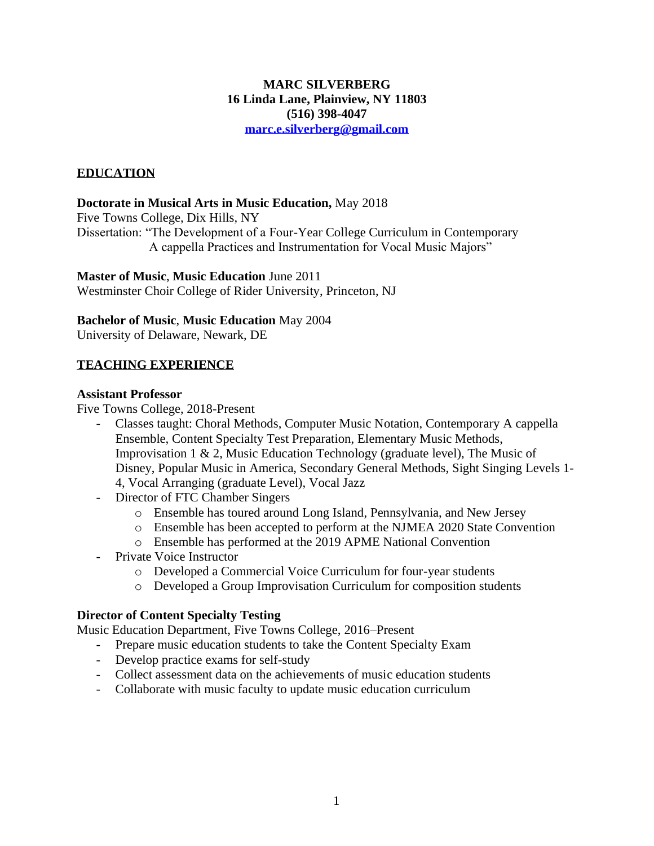# **MARC SILVERBERG 16 Linda Lane, Plainview, NY 11803 (516) 398-4047 [marc.e.silverberg@gmail.com](mailto:marc.e.silverberg@gmail.com)**

# **EDUCATION**

## **Doctorate in Musical Arts in Music Education,** May 2018

Five Towns College, Dix Hills, NY

Dissertation: "The Development of a Four-Year College Curriculum in Contemporary A cappella Practices and Instrumentation for Vocal Music Majors"

## **Master of Music**, **Music Education** June 2011

Westminster Choir College of Rider University, Princeton, NJ

## **Bachelor of Music**, **Music Education** May 2004

University of Delaware, Newark, DE

# **TEACHING EXPERIENCE**

#### **Assistant Professor**

Five Towns College, 2018-Present

- Classes taught: Choral Methods, Computer Music Notation, Contemporary A cappella Ensemble, Content Specialty Test Preparation, Elementary Music Methods, Improvisation 1 & 2, Music Education Technology (graduate level), The Music of Disney, Popular Music in America, Secondary General Methods, Sight Singing Levels 1- 4, Vocal Arranging (graduate Level), Vocal Jazz
- Director of FTC Chamber Singers
	- o Ensemble has toured around Long Island, Pennsylvania, and New Jersey
	- o Ensemble has been accepted to perform at the NJMEA 2020 State Convention
	- o Ensemble has performed at the 2019 APME National Convention
- Private Voice Instructor
	- o Developed a Commercial Voice Curriculum for four-year students
	- o Developed a Group Improvisation Curriculum for composition students

#### **Director of Content Specialty Testing**

Music Education Department, Five Towns College, 2016–Present

- Prepare music education students to take the Content Specialty Exam
- Develop practice exams for self-study
- Collect assessment data on the achievements of music education students
- Collaborate with music faculty to update music education curriculum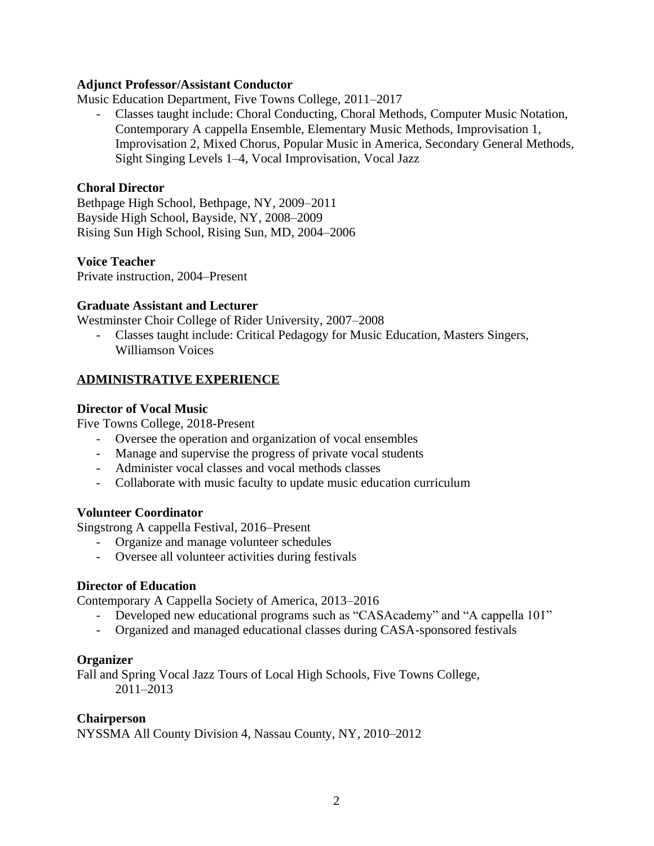## **Adjunct Professor/Assistant Conductor**

Music Education Department, Five Towns College, 2011–2017

- Classes taught include: Choral Conducting, Choral Methods, Computer Music Notation, Contemporary A cappella Ensemble, Elementary Music Methods, Improvisation 1, Improvisation 2, Mixed Chorus, Popular Music in America, Secondary General Methods, Sight Singing Levels 1–4, Vocal Improvisation, Vocal Jazz

# **Choral Director**

Bethpage High School, Bethpage, NY, 2009–2011 Bayside High School, Bayside, NY, 2008–2009 Rising Sun High School, Rising Sun, MD, 2004–2006

# **Voice Teacher**

Private instruction, 2004–Present

# **Graduate Assistant and Lecturer**

Westminster Choir College of Rider University, 2007–2008

 - Classes taught include: Critical Pedagogy for Music Education, Masters Singers, Williamson Voices

# **ADMINISTRATIVE EXPERIENCE**

## **Director of Vocal Music**

Five Towns College, 2018-Present

- Oversee the operation and organization of vocal ensembles
- Manage and supervise the progress of private vocal students
- Administer vocal classes and vocal methods classes
- Collaborate with music faculty to update music education curriculum

#### **Volunteer Coordinator**

Singstrong A cappella Festival, 2016–Present

- Organize and manage volunteer schedules
- Oversee all volunteer activities during festivals

# **Director of Education**

Contemporary A Cappella Society of America, 2013–2016

- Developed new educational programs such as "CASAcademy" and "A cappella 101"
- Organized and managed educational classes during CASA-sponsored festivals

#### **Organizer**

Fall and Spring Vocal Jazz Tours of Local High Schools, Five Towns College, 2011–2013

# **Chairperson**

NYSSMA All County Division 4, Nassau County, NY, 2010–2012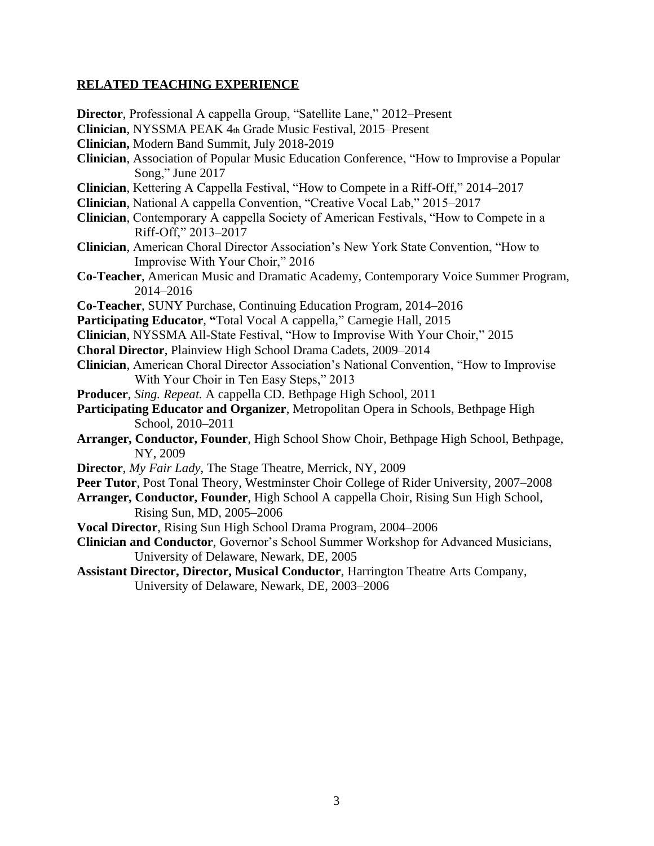## **RELATED TEACHING EXPERIENCE**

- **Director**, Professional A cappella Group, "Satellite Lane," 2012–Present
- **Clinician**, NYSSMA PEAK 4th Grade Music Festival, 2015–Present
- **Clinician,** Modern Band Summit, July 2018-2019
- **Clinician**, Association of Popular Music Education Conference, "How to Improvise a Popular Song," June 2017
- **Clinician**, Kettering A Cappella Festival, "How to Compete in a Riff-Off," 2014–2017
- **Clinician**, National A cappella Convention, "Creative Vocal Lab," 2015–2017
- **Clinician**, Contemporary A cappella Society of American Festivals, "How to Compete in a Riff-Off," 2013–2017
- **Clinician**, American Choral Director Association's New York State Convention, "How to Improvise With Your Choir," 2016
- **Co-Teacher**, American Music and Dramatic Academy, Contemporary Voice Summer Program, 2014–2016
- **Co-Teacher**, SUNY Purchase, Continuing Education Program, 2014–2016
- **Participating Educator**, **"**Total Vocal A cappella," Carnegie Hall, 2015
- **Clinician**, NYSSMA All-State Festival, "How to Improvise With Your Choir," 2015
- **Choral Director**, Plainview High School Drama Cadets, 2009–2014
- **Clinician**, American Choral Director Association's National Convention, "How to Improvise With Your Choir in Ten Easy Steps," 2013
- **Producer**, *Sing. Repeat.* A cappella CD. Bethpage High School, 2011
- **Participating Educator and Organizer**, Metropolitan Opera in Schools, Bethpage High School, 2010–2011
- **Arranger, Conductor, Founder**, High School Show Choir, Bethpage High School, Bethpage, NY, 2009
- **Director**, *My Fair Lady*, The Stage Theatre, Merrick, NY, 2009
- **Peer Tutor**, Post Tonal Theory, Westminster Choir College of Rider University, 2007–2008
- **Arranger, Conductor, Founder**, High School A cappella Choir, Rising Sun High School, Rising Sun, MD, 2005–2006
- **Vocal Director**, Rising Sun High School Drama Program, 2004–2006
- **Clinician and Conductor**, Governor's School Summer Workshop for Advanced Musicians, University of Delaware, Newark, DE, 2005
- **Assistant Director, Director, Musical Conductor**, Harrington Theatre Arts Company, University of Delaware, Newark, DE, 2003–2006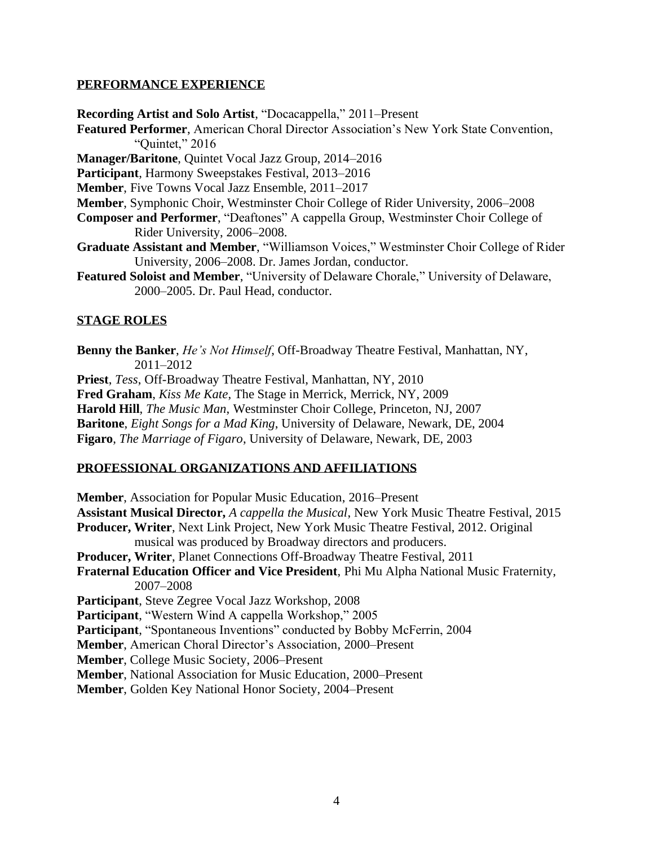## **PERFORMANCE EXPERIENCE**

**Recording Artist and Solo Artist**, "Docacappella," 2011–Present

**Featured Performer**, American Choral Director Association's New York State Convention, "Quintet," 2016

**Manager/Baritone**, Quintet Vocal Jazz Group, 2014–2016

**Participant**, Harmony Sweepstakes Festival, 2013–2016

**Member**, Five Towns Vocal Jazz Ensemble, 2011–2017

**Member**, Symphonic Choir, Westminster Choir College of Rider University, 2006–2008

- **Composer and Performer**, "Deaftones" A cappella Group, Westminster Choir College of Rider University, 2006–2008.
- **Graduate Assistant and Member**, "Williamson Voices," Westminster Choir College of Rider University, 2006–2008. Dr. James Jordan, conductor.
- **Featured Soloist and Member**, "University of Delaware Chorale," University of Delaware, 2000–2005. Dr. Paul Head, conductor.

# **STAGE ROLES**

**Benny the Banker**, *He's Not Himself*, Off-Broadway Theatre Festival, Manhattan, NY, 2011–2012

**Priest**, *Tess*, Off-Broadway Theatre Festival, Manhattan, NY, 2010

**Fred Graham**, *Kiss Me Kate*, The Stage in Merrick, Merrick, NY, 2009

**Harold Hill**, *The Music Man*, Westminster Choir College, Princeton, NJ, 2007

**Baritone**, *Eight Songs for a Mad King*, University of Delaware, Newark, DE, 2004

**Figaro**, *The Marriage of Figaro*, University of Delaware, Newark, DE, 2003

# **PROFESSIONAL ORGANIZATIONS AND AFFILIATIONS**

**Member**, Association for Popular Music Education, 2016–Present **Assistant Musical Director,** *A cappella the Musical*, New York Music Theatre Festival, 2015 **Producer, Writer**, Next Link Project, New York Music Theatre Festival, 2012. Original musical was produced by Broadway directors and producers. **Producer, Writer**, Planet Connections Off-Broadway Theatre Festival, 2011 **Fraternal Education Officer and Vice President**, Phi Mu Alpha National Music Fraternity, 2007–2008 **Participant**, Steve Zegree Vocal Jazz Workshop, 2008 **Participant**, "Western Wind A cappella Workshop," 2005 **Participant**, "Spontaneous Inventions" conducted by Bobby McFerrin, 2004 **Member**, American Choral Director's Association, 2000–Present **Member**, College Music Society, 2006–Present **Member**, National Association for Music Education, 2000–Present **Member**, Golden Key National Honor Society, 2004–Present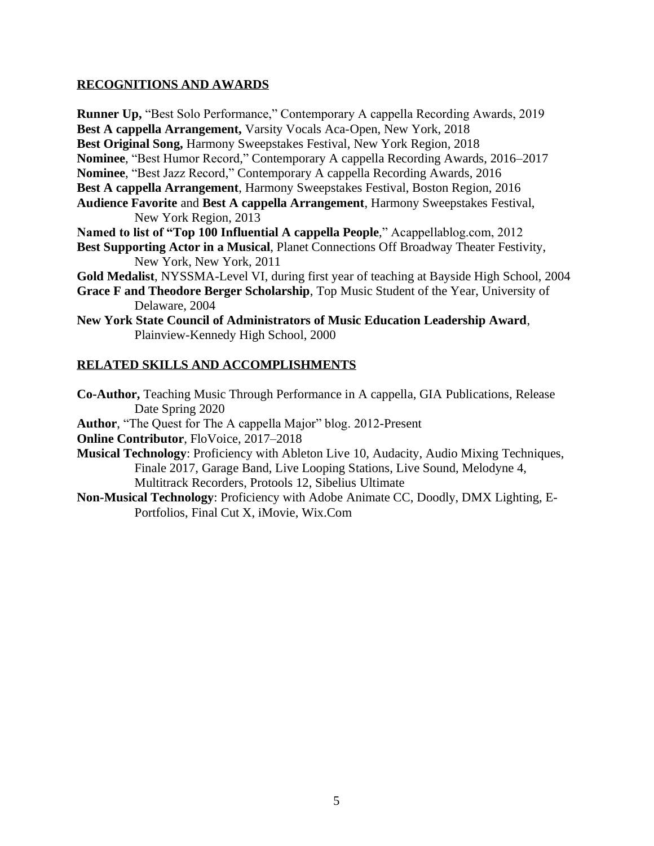# **RECOGNITIONS AND AWARDS**

**Runner Up,** "Best Solo Performance," Contemporary A cappella Recording Awards, 2019 **Best A cappella Arrangement,** Varsity Vocals Aca-Open, New York, 2018 **Best Original Song,** Harmony Sweepstakes Festival, New York Region, 2018 **Nominee**, "Best Humor Record," Contemporary A cappella Recording Awards, 2016–2017 **Nominee**, "Best Jazz Record," Contemporary A cappella Recording Awards, 2016 **Best A cappella Arrangement**, Harmony Sweepstakes Festival, Boston Region, 2016 **Audience Favorite** and **Best A cappella Arrangement**, Harmony Sweepstakes Festival, New York Region, 2013

**Named to list of "Top 100 Influential A cappella People**," Acappellablog.com, 2012 **Best Supporting Actor in a Musical**, Planet Connections Off Broadway Theater Festivity, New York, New York, 2011

**Gold Medalist**, NYSSMA-Level VI, during first year of teaching at Bayside High School, 2004

**Grace F and Theodore Berger Scholarship**, Top Music Student of the Year, University of Delaware, 2004

**New York State Council of Administrators of Music Education Leadership Award**, Plainview-Kennedy High School, 2000

# **RELATED SKILLS AND ACCOMPLISHMENTS**

**Co-Author,** Teaching Music Through Performance in A cappella, GIA Publications, Release Date Spring 2020

**Author**, "The Quest for The A cappella Major" blog. 2012-Present

**Online Contributor**, FloVoice, 2017–2018

**Musical Technology**: Proficiency with Ableton Live 10, Audacity, Audio Mixing Techniques, Finale 2017, Garage Band, Live Looping Stations, Live Sound, Melodyne 4, Multitrack Recorders, Protools 12, Sibelius Ultimate

**Non-Musical Technology**: Proficiency with Adobe Animate CC, Doodly, DMX Lighting, E- Portfolios, Final Cut X, iMovie, Wix.Com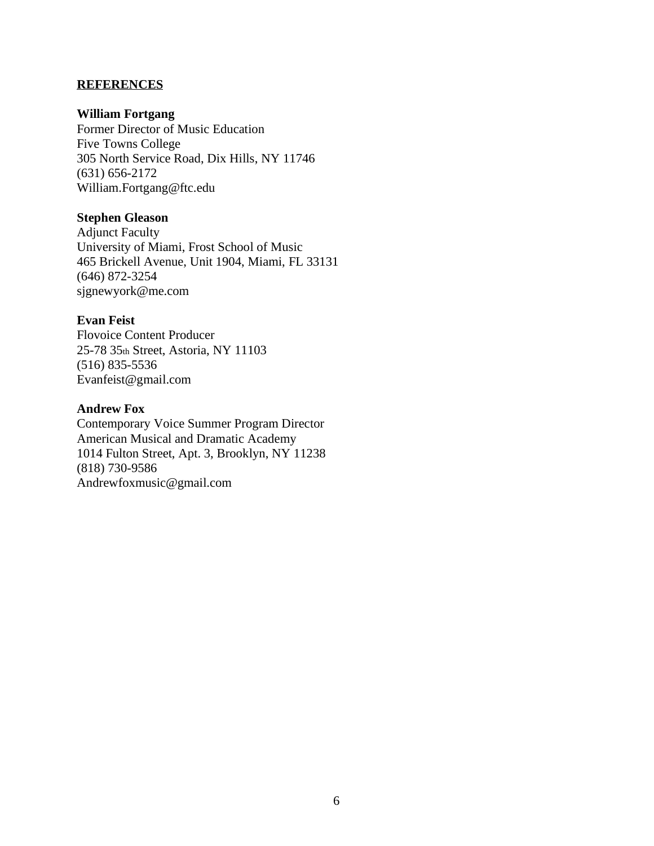## **REFERENCES**

#### **William Fortgang**

Former Director of Music Education Five Towns College 305 North Service Road, Dix Hills, NY 11746 (631) 656-2172 William.Fortgang@ftc.edu

## **Stephen Gleason**

Adjunct Faculty University of Miami, Frost School of Music 465 Brickell Avenue, Unit 1904, Miami, FL 33131 (646) 872-3254 sjgnewyork@me.com

# **Evan Feist**

Flovoice Content Producer 25-78 35th Street, Astoria, NY 11103 (516) 835-5536 Evanfeist@gmail.com

## **Andrew Fox**

Contemporary Voice Summer Program Director American Musical and Dramatic Academy 1014 Fulton Street, Apt. 3, Brooklyn, NY 11238 (818) 730-9586 Andrewfoxmusic@gmail.com